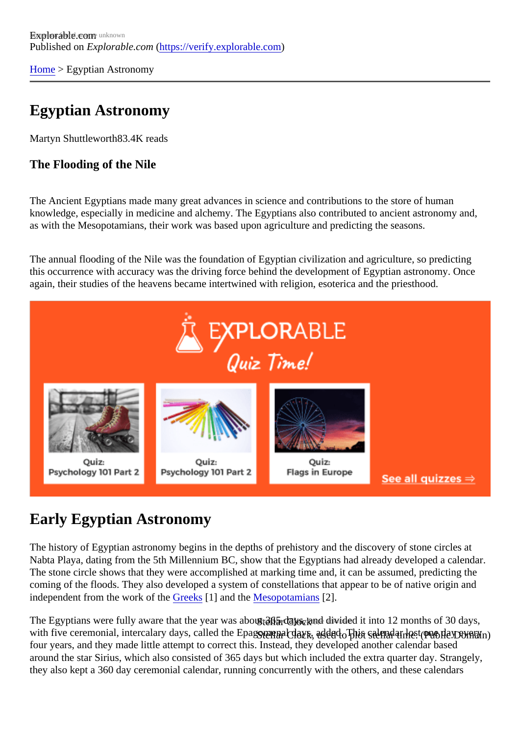[Home](https://verify.explorable.com/)> Egyptian Astronomy

# Egyptian Astronomy

Martyn Shuttlewort<sup>B3.4K</sup> reads

The Flooding of the Nile

The Ancient Egyptians made many great advances in science and contributions to the store of human knowledge, especially in medicine and alchemy. The Egyptians also contributed to ancient astronomy and, as with the Mesopotamians, their work was based upon agriculture and predicting the seasons.

The annual flooding of the Nile was the foundation of Egyptian civilization and agriculture, so predicting this occurrence with accuracy was the driving force behind the development of Egyptian astronomy. Once again, their studies of the heavens became intertwined with religion, esoterica and the priesthood.

# Early Egyptian Astronomy

The history of Egyptian astronomy begins in the depths of prehistory and the discovery of stone circles at Nabta Playa, dating from the 5th Millennium BC, show that the Egyptians had already developed a calend The stone circle shows that they were accomplished at marking time and, it can be assumed, predicting the coming of the floods. They also developed a system of constellations that appear to be of native origin and independent from the work of the reeks<sup>[1]</sup> and th[e Mesopotamian](https://verify.explorable.com/mesopotamian-astronomy) $[2]$ .

The Egyptians were fully aware that the year was<del>sabnut 665 day</del>s, and divided it into 12 months of 30 days with five ceremonial, intercalary days, called the Eaลูญลุกญ<sub>ิปิ</sub>อฝ<sub>ี</sub> days<sub>d</sub>addonel ปี ไม่เกิดจะได้เหื่อ Plดดีเอบอิเค่าสัทษ์ ve four years, and they made little attempt to correct this. Instead, they developed another calendar based around the star Sirius, which also consisted of 365 days but which included the extra quarter day. Strange they also kept a 360 day ceremonial calendar, running concurrently with the others, and these calendars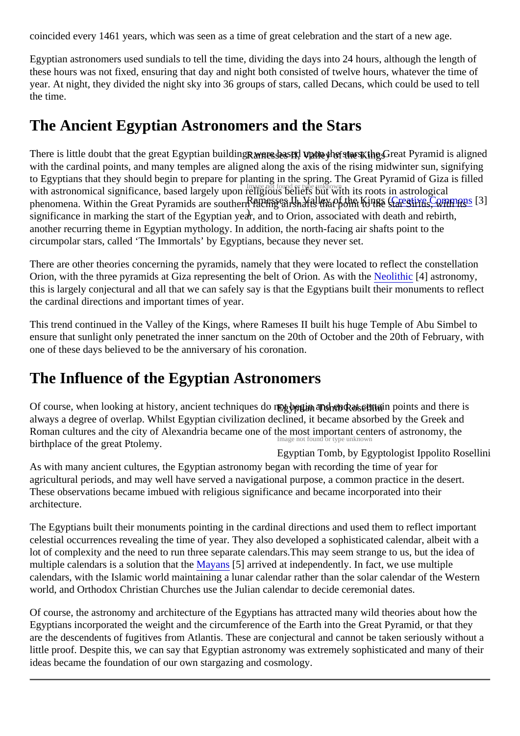coincided every 1461 years, which was seen as a time of great celebration and the start of a new age.

Egyptian astronomers used sundials to tell the time, dividing the days into 24 hours, although the length of these hours was not fixed, ensuring that day and night both consisted of twelve hours, whatever the time of year. At night, they divided the night sky into 36 groups of stars, called Decans, which could be used to tell the time.

### The Ancient Egyptian Astronomers and the Stars

There is little doubt that the great Egyptian buil**d**ings were **h**as end upon the kings; the Great Pyramid is align with astronomical significance, based largely upon religious beliefs but with its roots in astrological phenomena. Within the Great Pyramids are southern facing and related that ponders at each simus, with its significance in marking the start of the Egyptian year, and to Orion, associated with death and rebirth, with the cardinal points, and many temples are aligned along the axis of the rising midwinter sun, signifying to Egyptians that they should begin to prepare for planting in the spring. The Great Pyramid of Giza is filled another recurring theme in Egyptian mythology. In addition, the north-facing air shafts point to the circumpolar stars, called 'The Immortals' by Egyptians, because they never set.

There are other theories concerning the pyramids, namely that they were located to reflect the constellation Orion, with the three pyramids at Giza representing the belt of Orion. As will tethianic [4] astronomy, this is largely conjectural and all that we can safely say is that the Egyptians built their monuments to refle the cardinal directions and important times of year.

This trend continued in the Valley of the Kings, where Rameses II built his huge Temple of Abu Simbel to ensure that sunlight only penetrated the inner sanctum on the 20th of October and the 20th of February, with one of these days believed to be the anniversary of his coronation.

# The Influence of the Egyptian Astronomers

Of course, when looking at history, ancient technique**⊊go<sub>ph</sub>arbegin aned sendra**t certain points and there is Image not found or type unknown always a degree of overlap. Whilst Egyptian civilization declined, it became absorbed by the Greek and Roman cultures and the city of Alexandria became one of the most important centers of astronomy, the birthplace of the great Ptolemy.

Egyptian Tomb, by Egyptologist Ippolito Rosellini As with many ancient cultures, the Egyptian astronomy began with recording the time of year for agricultural periods, and may well have served a navigational purpose, a common practice in the desert. These observations became imbued with religious significance and became incorporated into their architecture.

The Egyptians built their monuments pointing in the cardinal directions and used them to reflect important celestial occurrences revealing the time of year. They also developed a sophisticated calendar, albeit with lot of complexity and the need to run three separate calendars. This may seem strange to us, but the idea multiple calendars is a solution that [the Mayans](https://verify.explorable.com/mayan-astronomy) [5] arrived at independently. In fact, we use multiple calendars, with the Islamic world maintaining a lunar calendar rather than the solar calendar of the Western world, and Orthodox Christian Churches use the Julian calendar to decide ceremonial dates.

Of course, the astronomy and architecture of the Egyptians has attracted many wild theories about how the Egyptians incorporated the weight and the circumference of the Earth into the Great Pyramid, or that they are the descendents of fugitives from Atlantis. These are conjectural and cannot be taken seriously without little proof. Despite this, we can say that Egyptian astronomy was extremely sophisticated and many of the ideas became the foundation of our own stargazing and cosmology.